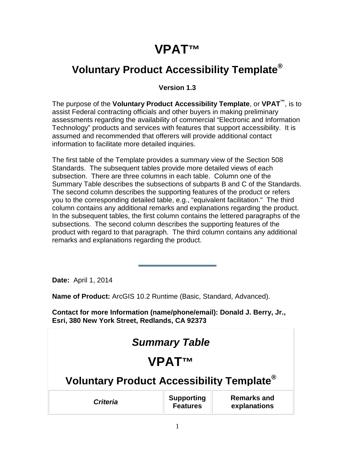# **VPAT™**

### **Voluntary Product Accessibility Template®**

#### **Version 1.3**

The purpose of the **Voluntary Product Accessibility Template**, or **VPAT™**, is to assist Federal contracting officials and other buyers in making preliminary assessments regarding the availability of commercial "Electronic and Information Technology" products and services with features that support accessibility. It is assumed and recommended that offerers will provide additional contact information to facilitate more detailed inquiries.

The first table of the Template provides a summary view of the Section 508 Standards. The subsequent tables provide more detailed views of each subsection. There are three columns in each table. Column one of the Summary Table describes the subsections of subparts B and C of the Standards. The second column describes the supporting features of the product or refers you to the corresponding detailed table, e.g., "equivalent facilitation." The third column contains any additional remarks and explanations regarding the product. In the subsequent tables, the first column contains the lettered paragraphs of the subsections. The second column describes the supporting features of the product with regard to that paragraph. The third column contains any additional remarks and explanations regarding the product.

**Date:** April 1, 2014

**Name of Product:** ArcGIS 10.2 Runtime (Basic, Standard, Advanced).

**Contact for more Information (name/phone/email): Donald J. Berry, Jr., Esri, 380 New York Street, Redlands, CA 92373**

| <b>Summary Table</b>                                                                          |  |  |  |
|-----------------------------------------------------------------------------------------------|--|--|--|
| <b>VPATTM</b>                                                                                 |  |  |  |
| Voluntary Product Accessibility Template <sup>®</sup>                                         |  |  |  |
| <b>Remarks and</b><br><b>Supporting</b><br><b>Criteria</b><br><b>Features</b><br>explanations |  |  |  |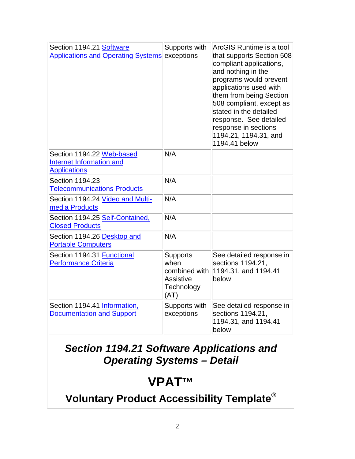| Section 1194.21 Software<br>Applications and Operating Systems exceptions    | Supports with                                                                      | ArcGIS Runtime is a tool<br>that supports Section 508<br>compliant applications,<br>and nothing in the<br>programs would prevent<br>applications used with<br>them from being Section<br>508 compliant, except as<br>stated in the detailed<br>response. See detailed<br>response in sections<br>1194.21, 1194.31, and<br>1194.41 below |
|------------------------------------------------------------------------------|------------------------------------------------------------------------------------|-----------------------------------------------------------------------------------------------------------------------------------------------------------------------------------------------------------------------------------------------------------------------------------------------------------------------------------------|
| Section 1194.22 Web-based<br>Internet Information and<br><b>Applications</b> | N/A                                                                                |                                                                                                                                                                                                                                                                                                                                         |
| Section 1194.23<br><b>Telecommunications Products</b>                        | N/A                                                                                |                                                                                                                                                                                                                                                                                                                                         |
| Section 1194.24 Video and Multi-<br>media Products                           | N/A                                                                                |                                                                                                                                                                                                                                                                                                                                         |
| Section 1194.25 Self-Contained,<br><b>Closed Products</b>                    | N/A                                                                                |                                                                                                                                                                                                                                                                                                                                         |
| Section 1194.26 Desktop and<br><b>Portable Computers</b>                     | N/A                                                                                |                                                                                                                                                                                                                                                                                                                                         |
| Section 1194.31 Functional<br><b>Performance Criteria</b>                    | <b>Supports</b><br>when<br>combined with<br><b>Assistive</b><br>Technology<br>(AT) | See detailed response in<br>sections 1194.21,<br>1194.31, and 1194.41<br>below                                                                                                                                                                                                                                                          |
| Section 1194.41 Information,<br><b>Documentation and Support</b>             | Supports with<br>exceptions                                                        | See detailed response in<br>sections 1194.21,<br>1194.31, and 1194.41<br>below                                                                                                                                                                                                                                                          |

#### *Section 1194.21 Software Applications and Operating Systems – Detail*

# **VPAT™**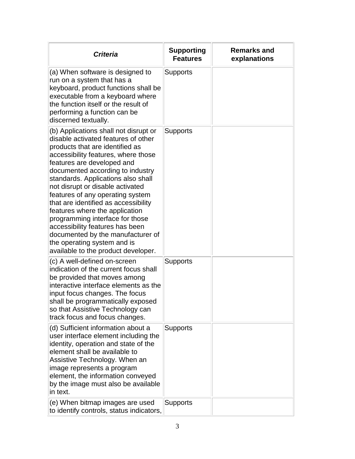| <b>Criteria</b>                                                                                                                                                                                                                                                                                                                                                                                                                                                                                                                                                                                   | <b>Supporting</b><br><b>Features</b> | <b>Remarks and</b><br>explanations |
|---------------------------------------------------------------------------------------------------------------------------------------------------------------------------------------------------------------------------------------------------------------------------------------------------------------------------------------------------------------------------------------------------------------------------------------------------------------------------------------------------------------------------------------------------------------------------------------------------|--------------------------------------|------------------------------------|
| (a) When software is designed to<br>run on a system that has a<br>keyboard, product functions shall be<br>executable from a keyboard where<br>the function itself or the result of<br>performing a function can be<br>discerned textually.                                                                                                                                                                                                                                                                                                                                                        | <b>Supports</b>                      |                                    |
| (b) Applications shall not disrupt or<br>disable activated features of other<br>products that are identified as<br>accessibility features, where those<br>features are developed and<br>documented according to industry<br>standards. Applications also shall<br>not disrupt or disable activated<br>features of any operating system<br>that are identified as accessibility<br>features where the application<br>programming interface for those<br>accessibility features has been<br>documented by the manufacturer of<br>the operating system and is<br>available to the product developer. | <b>Supports</b>                      |                                    |
| (c) A well-defined on-screen<br>indication of the current focus shall<br>be provided that moves among<br>interactive interface elements as the<br>input focus changes. The focus<br>shall be programmatically exposed<br>so that Assistive Technology can<br>track focus and focus changes.                                                                                                                                                                                                                                                                                                       | <b>Supports</b>                      |                                    |
| (d) Sufficient information about a<br>user interface element including the<br>identity, operation and state of the<br>element shall be available to<br>Assistive Technology. When an<br>image represents a program<br>element, the information conveyed<br>by the image must also be available<br>in text.                                                                                                                                                                                                                                                                                        | <b>Supports</b>                      |                                    |
| (e) When bitmap images are used<br>to identify controls, status indicators,                                                                                                                                                                                                                                                                                                                                                                                                                                                                                                                       | Supports                             |                                    |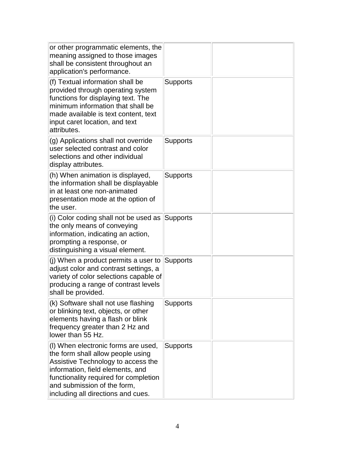| or other programmatic elements, the<br>meaning assigned to those images<br>shall be consistent throughout an<br>application's performance.                                                                                                                       |                 |  |
|------------------------------------------------------------------------------------------------------------------------------------------------------------------------------------------------------------------------------------------------------------------|-----------------|--|
| (f) Textual information shall be<br>provided through operating system<br>functions for displaying text. The<br>minimum information that shall be<br>made available is text content, text<br>input caret location, and text<br>attributes.                        | Supports        |  |
| (g) Applications shall not override<br>user selected contrast and color<br>selections and other individual<br>display attributes.                                                                                                                                | Supports        |  |
| (h) When animation is displayed,<br>the information shall be displayable<br>in at least one non-animated<br>presentation mode at the option of<br>the user.                                                                                                      | <b>Supports</b> |  |
| (i) Color coding shall not be used as<br>the only means of conveying<br>information, indicating an action,<br>prompting a response, or<br>distinguishing a visual element.                                                                                       | Supports        |  |
| (j) When a product permits a user to<br>adjust color and contrast settings, a<br>variety of color selections capable of<br>producing a range of contrast levels<br>shall be provided.                                                                            | Supports        |  |
| (k) Software shall not use flashing<br>or blinking text, objects, or other<br>elements having a flash or blink<br>frequency greater than 2 Hz and<br>llower than 55 Hz.                                                                                          | Supports        |  |
| (I) When electronic forms are used,<br>the form shall allow people using<br>Assistive Technology to access the<br>information, field elements, and<br>functionality required for completion<br>and submission of the form,<br>including all directions and cues. | <b>Supports</b> |  |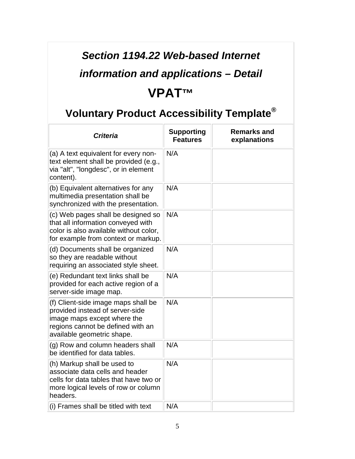### *Section 1194.22 Web-based Internet*

## *information and applications – Detail*

### **VPAT™**

| <b>Criteria</b>                                                                                                                                                          | <b>Supporting</b><br><b>Features</b> | <b>Remarks and</b><br>explanations |
|--------------------------------------------------------------------------------------------------------------------------------------------------------------------------|--------------------------------------|------------------------------------|
| (a) A text equivalent for every non-<br>text element shall be provided (e.g.,<br>via "alt", "longdesc", or in element<br>content).                                       | N/A                                  |                                    |
| (b) Equivalent alternatives for any<br>multimedia presentation shall be<br>synchronized with the presentation.                                                           | N/A                                  |                                    |
| (c) Web pages shall be designed so<br>that all information conveyed with<br>color is also available without color,<br>for example from context or markup.                | N/A                                  |                                    |
| (d) Documents shall be organized<br>so they are readable without<br>requiring an associated style sheet.                                                                 | N/A                                  |                                    |
| (e) Redundant text links shall be<br>provided for each active region of a<br>server-side image map.                                                                      | N/A                                  |                                    |
| (f) Client-side image maps shall be<br>provided instead of server-side<br>image maps except where the<br>regions cannot be defined with an<br>available geometric shape. | N/A                                  |                                    |
| (g) Row and column headers shall<br>be identified for data tables.                                                                                                       | N/A                                  |                                    |
| (h) Markup shall be used to<br>associate data cells and header<br>cells for data tables that have two or<br>more logical levels of row or column<br>headers.             | N/A                                  |                                    |
| (i) Frames shall be titled with text                                                                                                                                     | N/A                                  |                                    |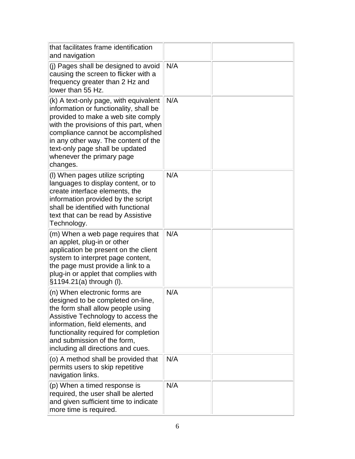| that facilitates frame identification<br>and navigation                                                                                                                                                                                                                                                                  |     |  |
|--------------------------------------------------------------------------------------------------------------------------------------------------------------------------------------------------------------------------------------------------------------------------------------------------------------------------|-----|--|
| (j) Pages shall be designed to avoid<br>causing the screen to flicker with a<br>frequency greater than 2 Hz and<br>lower than 55 Hz.                                                                                                                                                                                     | N/A |  |
| (k) A text-only page, with equivalent<br>information or functionality, shall be<br>provided to make a web site comply<br>with the provisions of this part, when<br>compliance cannot be accomplished<br>in any other way. The content of the<br>text-only page shall be updated<br>whenever the primary page<br>changes. | N/A |  |
| (I) When pages utilize scripting<br>languages to display content, or to<br>create interface elements, the<br>information provided by the script<br>shall be identified with functional<br>text that can be read by Assistive<br>Technology.                                                                              | N/A |  |
| (m) When a web page requires that<br>an applet, plug-in or other<br>application be present on the client<br>system to interpret page content,<br>the page must provide a link to a<br>plug-in or applet that complies with<br>§1194.21(a) through (I).                                                                   | N/A |  |
| (n) When electronic forms are<br>designed to be completed on-line<br>the form shall allow people using<br>Assistive Technology to access the<br>information, field elements, and<br>functionality required for completion<br>and submission of the form,<br>including all directions and cues.                           | N/A |  |
| (o) A method shall be provided that<br>permits users to skip repetitive<br>navigation links.                                                                                                                                                                                                                             | N/A |  |
| (p) When a timed response is<br>required, the user shall be alerted<br>and given sufficient time to indicate<br>more time is required.                                                                                                                                                                                   | N/A |  |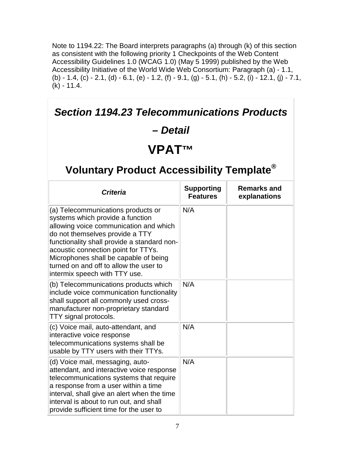Note to 1194.22: The Board interprets paragraphs (a) through (k) of this section as consistent with the following priority 1 Checkpoints of the Web Content Accessibility Guidelines 1.0 (WCAG 1.0) (May 5 1999) published by the Web Accessibility Initiative of the World Wide Web Consortium: Paragraph (a) - 1.1, (b) - 1.4, (c) - 2.1, (d) - 6.1, (e) - 1.2, (f) - 9.1, (g) - 5.1, (h) - 5.2, (i) - 12.1, (j) - 7.1,  $(k) - 11.4.$ 

| <b>Section 1194.23 Telecommunications Products</b>                                                                                                                                                                                                                                                                                                            |                                      |                                    |
|---------------------------------------------------------------------------------------------------------------------------------------------------------------------------------------------------------------------------------------------------------------------------------------------------------------------------------------------------------------|--------------------------------------|------------------------------------|
| – Detail                                                                                                                                                                                                                                                                                                                                                      |                                      |                                    |
| VPAT™                                                                                                                                                                                                                                                                                                                                                         |                                      |                                    |
| Voluntary Product Accessibility Template <sup>®</sup>                                                                                                                                                                                                                                                                                                         |                                      |                                    |
| <b>Criteria</b>                                                                                                                                                                                                                                                                                                                                               | <b>Supporting</b><br><b>Features</b> | <b>Remarks and</b><br>explanations |
| (a) Telecommunications products or<br>systems which provide a function<br>allowing voice communication and which<br>do not themselves provide a TTY<br>functionality shall provide a standard non-<br>acoustic connection point for TTYs.<br>Microphones shall be capable of being<br>turned on and off to allow the user to<br>intermix speech with TTY use. | N/A                                  |                                    |
| (b) Telecommunications products which<br>include voice communication functionality<br>shall support all commonly used cross-<br>manufacturer non-proprietary standard<br>TTY signal protocols.                                                                                                                                                                | N/A                                  |                                    |
| (c) Voice mail, auto-attendant, and<br>interactive voice response<br>telecommunications systems shall be<br>usable by TTY users with their TTYs.                                                                                                                                                                                                              | N/A                                  |                                    |
| (d) Voice mail, messaging, auto-<br>attendant, and interactive voice response<br>telecommunications systems that require<br>a response from a user within a time<br>interval, shall give an alert when the time<br>interval is about to run out, and shall<br>provide sufficient time for the user to                                                         | N/A                                  |                                    |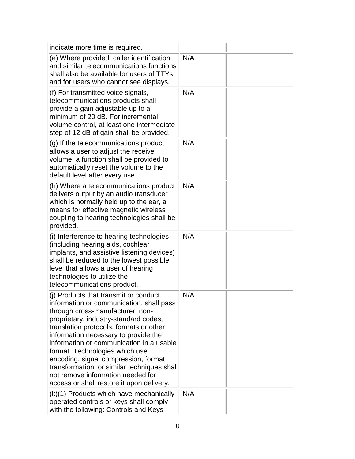| indicate more time is required.                                                                                                                                                                                                                                                                                                                                                                                                                                                                          |     |  |
|----------------------------------------------------------------------------------------------------------------------------------------------------------------------------------------------------------------------------------------------------------------------------------------------------------------------------------------------------------------------------------------------------------------------------------------------------------------------------------------------------------|-----|--|
| (e) Where provided, caller identification<br>and similar telecommunications functions<br>shall also be available for users of TTYs,<br>and for users who cannot see displays.                                                                                                                                                                                                                                                                                                                            | N/A |  |
| (f) For transmitted voice signals,<br>telecommunications products shall<br>provide a gain adjustable up to a<br>minimum of 20 dB. For incremental<br>volume control, at least one intermediate<br>step of 12 dB of gain shall be provided.                                                                                                                                                                                                                                                               | N/A |  |
| (g) If the telecommunications product<br>allows a user to adjust the receive<br>volume, a function shall be provided to<br>automatically reset the volume to the<br>default level after every use.                                                                                                                                                                                                                                                                                                       | N/A |  |
| (h) Where a telecommunications product<br>delivers output by an audio transducer<br>which is normally held up to the ear, a<br>means for effective magnetic wireless<br>coupling to hearing technologies shall be<br>provided.                                                                                                                                                                                                                                                                           | N/A |  |
| (i) Interference to hearing technologies<br>(including hearing aids, cochlear<br>implants, and assistive listening devices)<br>shall be reduced to the lowest possible<br>level that allows a user of hearing<br>technologies to utilize the<br>telecommunications product.                                                                                                                                                                                                                              | N/A |  |
| (i) Products that transmit or conduct<br>information or communication, shall pass<br>through cross-manufacturer, non-<br>proprietary, industry-standard codes,<br>translation protocols, formats or other<br>information necessary to provide the<br>information or communication in a usable<br>format. Technologies which use<br>encoding, signal compression, format<br>transformation, or similar techniques shall<br>not remove information needed for<br>access or shall restore it upon delivery. | N/A |  |
| (k)(1) Products which have mechanically<br>operated controls or keys shall comply<br>with the following: Controls and Keys                                                                                                                                                                                                                                                                                                                                                                               | N/A |  |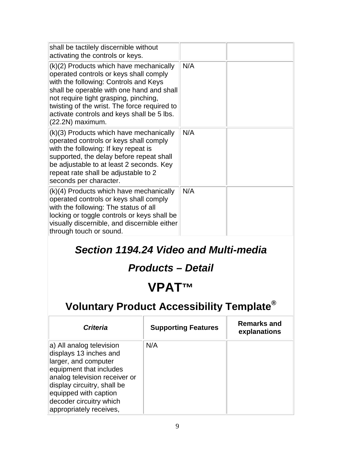| shall be tactilely discernible without<br>activating the controls or keys.                                                                                                                                                                                                                                                         |     |  |
|------------------------------------------------------------------------------------------------------------------------------------------------------------------------------------------------------------------------------------------------------------------------------------------------------------------------------------|-----|--|
| (k)(2) Products which have mechanically<br>operated controls or keys shall comply<br>with the following: Controls and Keys<br>shall be operable with one hand and shall<br>not require tight grasping, pinching,<br>twisting of the wrist. The force required to<br>activate controls and keys shall be 5 lbs.<br>(22.2N) maximum. | N/A |  |
| (k)(3) Products which have mechanically<br>operated controls or keys shall comply<br>with the following: If key repeat is<br>supported, the delay before repeat shall<br>be adjustable to at least 2 seconds. Key<br>repeat rate shall be adjustable to 2<br>seconds per character.                                                | N/A |  |
| (k)(4) Products which have mechanically<br>operated controls or keys shall comply<br>with the following: The status of all<br>locking or toggle controls or keys shall be<br>visually discernible, and discernible either<br>through touch or sound.                                                                               | N/A |  |

#### *Section 1194.24 Video and Multi-media*

#### *Products – Detail*

### **VPAT™**

| <b>Criteria</b>                                                                                                                                                                                                                                      | <b>Supporting Features</b> | Remarks and<br>explanations |
|------------------------------------------------------------------------------------------------------------------------------------------------------------------------------------------------------------------------------------------------------|----------------------------|-----------------------------|
| a) All analog television<br>displays 13 inches and<br>larger, and computer<br>equipment that includes<br>analog television receiver or<br>display circuitry, shall be<br>equipped with caption<br>decoder circuitry which<br>appropriately receives, | N/A                        |                             |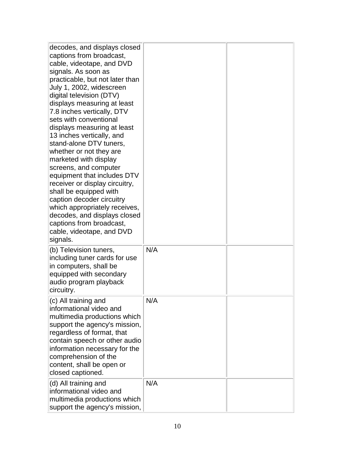| decodes, and displays closed<br>captions from broadcast,<br>cable, videotape, and DVD<br>signals. As soon as<br>practicable, but not later than<br>July 1, 2002, widescreen<br>digital television (DTV)<br>displays measuring at least<br>7.8 inches vertically, DTV<br>sets with conventional<br>displays measuring at least<br>13 inches vertically, and<br>stand-alone DTV tuners,<br>whether or not they are<br>marketed with display<br>screens, and computer<br>equipment that includes DTV<br>receiver or display circuitry,<br>shall be equipped with<br>caption decoder circuitry<br>which appropriately receives,<br>decodes, and displays closed<br>captions from broadcast,<br>cable, videotape, and DVD<br>signals. |     |  |
|----------------------------------------------------------------------------------------------------------------------------------------------------------------------------------------------------------------------------------------------------------------------------------------------------------------------------------------------------------------------------------------------------------------------------------------------------------------------------------------------------------------------------------------------------------------------------------------------------------------------------------------------------------------------------------------------------------------------------------|-----|--|
| (b) Television tuners,<br>including tuner cards for use<br>in computers, shall be<br>equipped with secondary<br>audio program playback<br>circuitry.                                                                                                                                                                                                                                                                                                                                                                                                                                                                                                                                                                             | N/A |  |
| (c) All training and<br>informational video and<br>multimedia productions which<br>support the agency's mission,<br>regardless of format, that<br>contain speech or other audio<br>information necessary for the<br>comprehension of the<br>content, shall be open or<br>closed captioned.                                                                                                                                                                                                                                                                                                                                                                                                                                       | N/A |  |
| (d) All training and<br>informational video and<br>multimedia productions which<br>support the agency's mission,                                                                                                                                                                                                                                                                                                                                                                                                                                                                                                                                                                                                                 | N/A |  |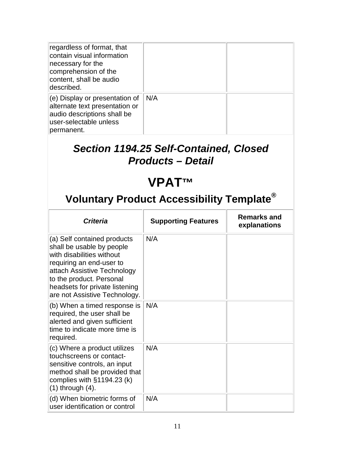| regardless of format, that<br>contain visual information<br>necessary for the<br>comprehension of the<br>content, shall be audio<br>described. |     |  |
|------------------------------------------------------------------------------------------------------------------------------------------------|-----|--|
| $(e)$ Display or presentation of<br>alternate text presentation or<br>audio descriptions shall be<br>user-selectable unless<br>permanent.      | N/A |  |

#### *Section 1194.25 Self-Contained, Closed Products – Detail*

# **VPAT™**

| <b>Criteria</b>                                                                                                                                                                                                                                 | <b>Supporting Features</b> | <b>Remarks and</b><br>explanations |
|-------------------------------------------------------------------------------------------------------------------------------------------------------------------------------------------------------------------------------------------------|----------------------------|------------------------------------|
| (a) Self contained products<br>shall be usable by people<br>with disabilities without<br>requiring an end-user to<br>attach Assistive Technology<br>to the product. Personal<br>headsets for private listening<br>are not Assistive Technology. | N/A                        |                                    |
| (b) When a timed response is<br>required, the user shall be<br>alerted and given sufficient<br>time to indicate more time is<br>required.                                                                                                       | N/A                        |                                    |
| (c) Where a product utilizes<br>touchscreens or contact-<br>sensitive controls, an input<br>method shall be provided that<br>complies with $§1194.23$ (k)<br>$(1)$ through $(4)$ .                                                              | N/A                        |                                    |
| (d) When biometric forms of<br>user identification or control                                                                                                                                                                                   | N/A                        |                                    |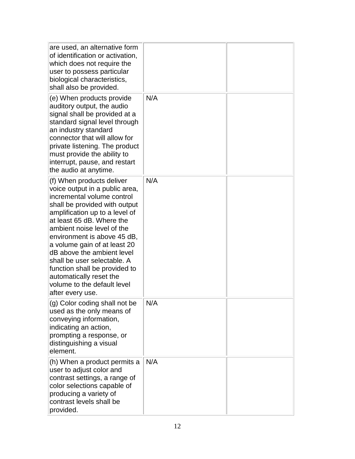| are used, an alternative form<br>of identification or activation,<br>which does not require the<br>user to possess particular<br>biological characteristics,<br>shall also be provided.                                                                                                                                                                                                                                                                            |     |  |
|--------------------------------------------------------------------------------------------------------------------------------------------------------------------------------------------------------------------------------------------------------------------------------------------------------------------------------------------------------------------------------------------------------------------------------------------------------------------|-----|--|
| (e) When products provide<br>auditory output, the audio<br>signal shall be provided at a<br>standard signal level through<br>an industry standard<br>connector that will allow for<br>private listening. The product<br>must provide the ability to<br>interrupt, pause, and restart<br>the audio at anytime.                                                                                                                                                      | N/A |  |
| (f) When products deliver<br>voice output in a public area,<br>incremental volume control<br>shall be provided with output<br>amplification up to a level of<br>at least 65 dB. Where the<br>ambient noise level of the<br>environment is above 45 dB,<br>a volume gain of at least 20<br>dB above the ambient level<br>shall be user selectable. A<br>function shall be provided to<br>automatically reset the<br>volume to the default level<br>after every use. | N/A |  |
| (g) Color coding shall not be<br>used as the only means of<br>conveying information,<br>indicating an action,<br>prompting a response, or<br>distinguishing a visual<br>element.                                                                                                                                                                                                                                                                                   | N/A |  |
| (h) When a product permits a<br>user to adjust color and<br>contrast settings, a range of<br>color selections capable of<br>producing a variety of<br>contrast levels shall be<br>provided.                                                                                                                                                                                                                                                                        | N/A |  |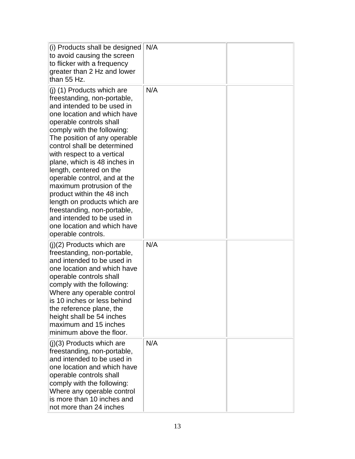| (i) Products shall be designed<br>to avoid causing the screen<br>to flicker with a frequency<br>greater than 2 Hz and lower<br>than 55 Hz.                                                                                                                                                                                                                                                                                                                                                                                                                                             | N/A |  |
|----------------------------------------------------------------------------------------------------------------------------------------------------------------------------------------------------------------------------------------------------------------------------------------------------------------------------------------------------------------------------------------------------------------------------------------------------------------------------------------------------------------------------------------------------------------------------------------|-----|--|
| $(i)$ (1) Products which are<br>freestanding, non-portable,<br>and intended to be used in<br>one location and which have<br>operable controls shall<br>comply with the following:<br>The position of any operable<br>control shall be determined<br>with respect to a vertical<br>plane, which is 48 inches in<br>length, centered on the<br>operable control, and at the<br>maximum protrusion of the<br>product within the 48 inch<br>length on products which are<br>freestanding, non-portable,<br>and intended to be used in<br>one location and which have<br>operable controls. | N/A |  |
| $(j)(2)$ Products which are<br>freestanding, non-portable,<br>and intended to be used in<br>one location and which have<br>operable controls shall<br>comply with the following:<br>Where any operable control<br>is 10 inches or less behind<br>the reference plane, the<br>height shall be 54 inches<br>maximum and 15 inches<br>minimum above the floor.                                                                                                                                                                                                                            | N/A |  |
| $(j)(3)$ Products which are<br>freestanding, non-portable,<br>and intended to be used in<br>one location and which have<br>operable controls shall<br>comply with the following:<br>Where any operable control<br>is more than 10 inches and<br>not more than 24 inches                                                                                                                                                                                                                                                                                                                | N/A |  |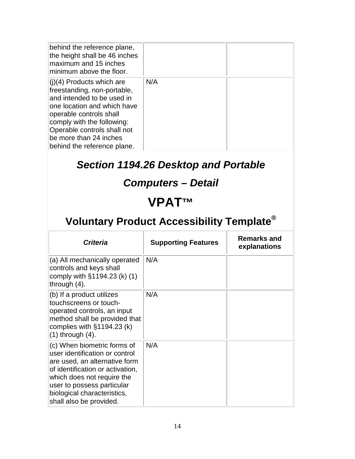| behind the reference plane,<br>the height shall be 46 inches<br>maximum and 15 inches<br>minimum above the floor.                                                                                                                                                        |     |  |
|--------------------------------------------------------------------------------------------------------------------------------------------------------------------------------------------------------------------------------------------------------------------------|-----|--|
| $(1)(4)$ Products which are<br>freestanding, non-portable,<br>and intended to be used in<br>one location and which have<br>operable controls shall<br>comply with the following:<br>Operable controls shall not<br>be more than 24 inches<br>behind the reference plane. | N/A |  |

### *Section 1194.26 Desktop and Portable*

#### *Computers – Detail*

### **VPAT™**

| <b>Criteria</b>                                                                                                                                                                                                                                          | <b>Supporting Features</b> | <b>Remarks and</b><br>explanations |
|----------------------------------------------------------------------------------------------------------------------------------------------------------------------------------------------------------------------------------------------------------|----------------------------|------------------------------------|
| (a) All mechanically operated<br>controls and keys shall<br>comply with $§1194.23$ (k) (1)<br>through $(4)$ .                                                                                                                                            | N/A                        |                                    |
| (b) If a product utilizes<br>touchscreens or touch-<br>operated controls, an input<br>method shall be provided that<br>complies with $§1194.23$ (k)<br>$(1)$ through $(4)$ .                                                                             | N/A                        |                                    |
| (c) When biometric forms of<br>user identification or control<br>are used, an alternative form<br>of identification or activation,<br>which does not require the<br>user to possess particular<br>biological characteristics,<br>shall also be provided. | N/A                        |                                    |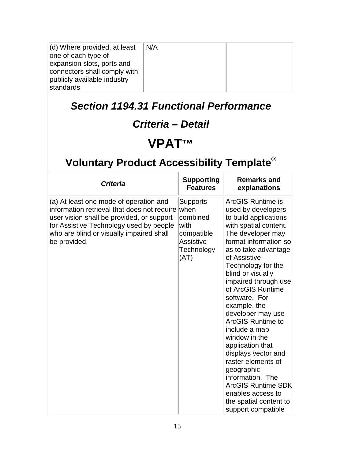| $\vert$ (d) Where provided, at least | N/A |  |
|--------------------------------------|-----|--|
| one of each type of                  |     |  |
| expansion slots, ports and           |     |  |
| connectors shall comply with         |     |  |
| publicly available industry          |     |  |
| standards                            |     |  |

#### *Section 1194.31 Functional Performance*

### *Criteria – Detail*

# **VPAT™**

| <b>Criteria</b>                                                                                                                                                                                                                           | <b>Supporting</b><br><b>Features</b>                                                                 | <b>Remarks and</b><br>explanations                                                                                                                                                                                                                                                                                                                                                                                                                                                                                                                                                                      |
|-------------------------------------------------------------------------------------------------------------------------------------------------------------------------------------------------------------------------------------------|------------------------------------------------------------------------------------------------------|---------------------------------------------------------------------------------------------------------------------------------------------------------------------------------------------------------------------------------------------------------------------------------------------------------------------------------------------------------------------------------------------------------------------------------------------------------------------------------------------------------------------------------------------------------------------------------------------------------|
| (a) At least one mode of operation and<br>information retrieval that does not require<br>user vision shall be provided, or support<br>for Assistive Technology used by people<br>who are blind or visually impaired shall<br>be provided. | <b>Supports</b><br>lwhen<br>combined<br>with<br>compatible<br><b>Assistive</b><br>Technology<br>(AT) | <b>ArcGIS Runtime is</b><br>used by developers<br>to build applications<br>with spatial content.<br>The developer may<br>format information so<br>as to take advantage<br>of Assistive<br>Technology for the<br>blind or visually<br>impaired through use<br>of ArcGIS Runtime<br>software. For<br>example, the<br>developer may use<br><b>ArcGIS Runtime to</b><br>include a map<br>window in the<br>application that<br>displays vector and<br>raster elements of<br>geographic<br>information. The<br><b>ArcGIS Runtime SDK</b><br>enables access to<br>the spatial content to<br>support compatible |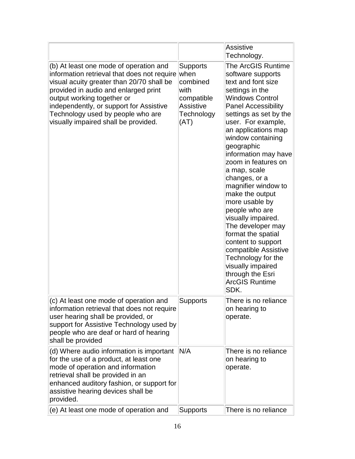|                                                                                                                                                                                                                                                                                                                                  |                                                                                                     | Assistive<br>Technology.                                                                                                                                                                                                                                                                                                                                                                                                                                                                                                                                                                                                               |
|----------------------------------------------------------------------------------------------------------------------------------------------------------------------------------------------------------------------------------------------------------------------------------------------------------------------------------|-----------------------------------------------------------------------------------------------------|----------------------------------------------------------------------------------------------------------------------------------------------------------------------------------------------------------------------------------------------------------------------------------------------------------------------------------------------------------------------------------------------------------------------------------------------------------------------------------------------------------------------------------------------------------------------------------------------------------------------------------------|
| (b) At least one mode of operation and<br>information retrieval that does not require<br>visual acuity greater than 20/70 shall be<br>provided in audio and enlarged print<br>output working together or<br>independently, or support for Assistive<br>Technology used by people who are<br>visually impaired shall be provided. | <b>Supports</b><br>when<br>combined<br>with<br>compatible<br><b>Assistive</b><br>Technology<br>(AT) | <b>The ArcGIS Runtime</b><br>software supports<br>text and font size<br>settings in the<br><b>Windows Control</b><br><b>Panel Accessibility</b><br>settings as set by the<br>user. For example,<br>an applications map<br>window containing<br>geographic<br>information may have<br>zoom in features on<br>a map, scale<br>changes, or a<br>magnifier window to<br>make the output<br>more usable by<br>people who are<br>visually impaired.<br>The developer may<br>format the spatial<br>content to support<br>compatible Assistive<br>Technology for the<br>visually impaired<br>through the Esri<br><b>ArcGIS Runtime</b><br>SDK. |
| (c) At least one mode of operation and<br>information retrieval that does not require<br>user hearing shall be provided, or<br>support for Assistive Technology used by<br>people who are deaf or hard of hearing<br>shall be provided                                                                                           | Supports                                                                                            | There is no reliance<br>on hearing to<br>operate.                                                                                                                                                                                                                                                                                                                                                                                                                                                                                                                                                                                      |
| (d) Where audio information is important<br>for the use of a product, at least one<br>mode of operation and information<br>retrieval shall be provided in an<br>enhanced auditory fashion, or support for<br>assistive hearing devices shall be<br>provided.                                                                     | N/A                                                                                                 | There is no reliance<br>on hearing to<br>operate.                                                                                                                                                                                                                                                                                                                                                                                                                                                                                                                                                                                      |
| $(e)$ At least one mode of operation and                                                                                                                                                                                                                                                                                         | <b>Supports</b>                                                                                     | There is no reliance                                                                                                                                                                                                                                                                                                                                                                                                                                                                                                                                                                                                                   |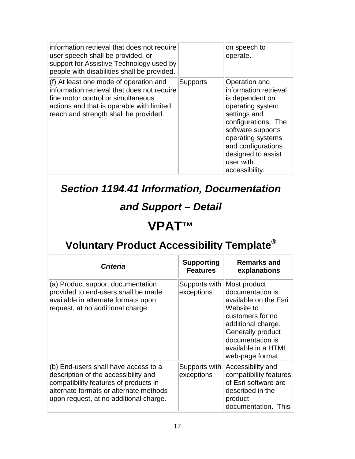| information retrieval that does not require<br>user speech shall be provided, or<br>support for Assistive Technology used by<br>people with disabilities shall be provided.                                         |                 | on speech to<br>operate.                                                                                                                                                                                                                      |
|---------------------------------------------------------------------------------------------------------------------------------------------------------------------------------------------------------------------|-----------------|-----------------------------------------------------------------------------------------------------------------------------------------------------------------------------------------------------------------------------------------------|
| $(f)$ At least one mode of operation and<br>information retrieval that does not require<br>fine motor control or simultaneous<br>actions and that is operable with limited<br>reach and strength shall be provided. | <b>Supports</b> | Operation and<br>information retrieval<br>is dependent on<br>operating system<br>settings and<br>configurations. The<br>software supports<br>operating systems<br>and configurations<br>designed to assist<br>$ $ user with<br>accessibility. |

### *Section 1194.41 Information, Documentation*

### *and Support – Detail*

### **VPAT™**

| <b>Criteria</b>                                                                                                                                                                                           | <b>Supporting</b><br><b>Features</b> | <b>Remarks and</b><br>explanations                                                                                                                                                                          |
|-----------------------------------------------------------------------------------------------------------------------------------------------------------------------------------------------------------|--------------------------------------|-------------------------------------------------------------------------------------------------------------------------------------------------------------------------------------------------------------|
| (a) Product support documentation<br>provided to end-users shall be made<br>available in alternate formats upon<br>request, at no additional charge                                                       | Supports with<br>exceptions          | Most product<br>documentation is<br>available on the Esri<br>Website to<br>customers for no<br>additional charge.<br><b>Generally product</b><br>documentation is<br>available in a HTML<br>web-page format |
| (b) End-users shall have access to a<br>description of the accessibility and<br>compatibility features of products in<br>alternate formats or alternate methods<br>upon request, at no additional charge. | Supports with<br>exceptions          | Accessibility and<br>compatibility features<br>of Esri software are<br>described in the<br>product<br>documentation. This                                                                                   |